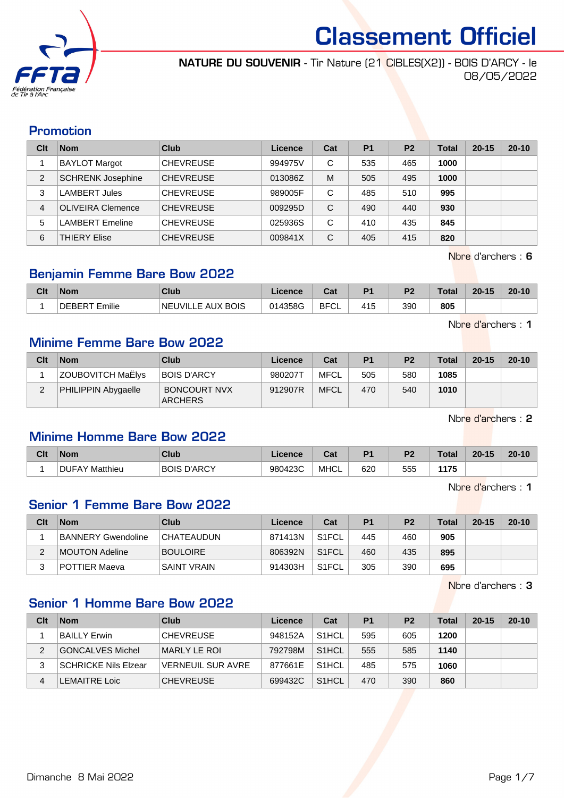

NATURE DU SOUVENIR - Tir Nature (21 CIBLES(X2)) - BOIS D'ARCY - le 08/05/2022

#### Promotion

| Clt            | <b>Nom</b>               | Club             | Licence | Cat | P <sub>1</sub> | P <sub>2</sub> | <b>Total</b> | $20 - 15$ | $20 - 10$ |
|----------------|--------------------------|------------------|---------|-----|----------------|----------------|--------------|-----------|-----------|
|                | <b>BAYLOT Margot</b>     | <b>CHEVREUSE</b> | 994975V | C   | 535            | 465            | 1000         |           |           |
| $\overline{2}$ | <b>SCHRENK Josephine</b> | <b>CHEVREUSE</b> | 013086Z | M   | 505            | 495            | 1000         |           |           |
| 3              | <b>LAMBERT Jules</b>     | <b>CHEVREUSE</b> | 989005F | C   | 485            | 510            | 995          |           |           |
| 4              | <b>OLIVEIRA Clemence</b> | <b>CHEVREUSE</b> | 009295D | C   | 490            | 440            | 930          |           |           |
| 5              | <b>LAMBERT Emeline</b>   | <b>CHEVREUSE</b> | 025936S | С   | 410            | 435            | 845          |           |           |
| 6              | <b>THIERY Elise</b>      | <b>CHEVREUSE</b> | 009841X | C   | 405            | 415            | 820          |           |           |

Nbre d'archers : 6

## Benjamin Femme Bare Bow 2022

| Clt | <b>Nom</b>      | <b>Club</b>                          | Licence | ∩~'<br>⊍aι  | P <sub>1</sub> | D <sub>2</sub> | Total | $20 - 15$ | $20 - 10$ |
|-----|-----------------|--------------------------------------|---------|-------------|----------------|----------------|-------|-----------|-----------|
|     | Emilie<br>ncde. | <b>UVILLE AUX BOIS</b><br><b>NEI</b> | 014358G | <b>BFCL</b> | 415            | 390            | 805   |           |           |

Nbre d'archers : 1

## Minime Femme Bare Bow 2022

| Clt | <b>Nom</b>          | Club                                  | Licence | Cat         | P <sub>1</sub> | P <sub>2</sub> | <b>Total</b> | $20 - 15$ | $20 - 10$ |
|-----|---------------------|---------------------------------------|---------|-------------|----------------|----------------|--------------|-----------|-----------|
|     | ZOUBOVITCH MaËlys   | <b>BOIS D'ARCY</b>                    | 980207T | MFCL        | 505            | 580            | 1085         |           |           |
|     | PHILIPPIN Abygaelle | <b>BONCOURT NVX</b><br><b>ARCHERS</b> | 912907R | <b>MFCL</b> | 470            | 540            | 1010         |           |           |

Nbre d'archers : 2

## Minime Homme Bare Bow 2022

| Clt | <b>Nom</b>     | Club                  | Licence | $\sim$<br>ual | D4         | D <sub>2</sub> | Total       | $20 - 15$ | $20 - 10$ |
|-----|----------------|-----------------------|---------|---------------|------------|----------------|-------------|-----------|-----------|
|     | DUFAY Matthieu | D'ARCY<br><b>BOIS</b> | 980423C | <b>MHCL</b>   | 620<br>. . | 555            | <b>117F</b> |           |           |

Nbre d'archers : 1

## Senior 1 Femme Bare Bow 2022

| Clt | <b>Nom</b>         | <b>Club</b>        | Licence | Cat                | P <sub>1</sub> | P <sub>2</sub> | <b>Total</b> | $20 - 15$ | $20 - 10$ |
|-----|--------------------|--------------------|---------|--------------------|----------------|----------------|--------------|-----------|-----------|
|     | BANNERY Gwendoline | <b>CHATEAUDUN</b>  | 871413N | S <sub>1</sub> FCL | 445            | 460            | 905          |           |           |
| ∠   | MOUTON Adeline     | <b>BOULOIRE</b>    | 806392N | S <sub>1</sub> FCL | 460            | 435            | 895          |           |           |
|     | POTTIER Maeva      | <b>SAINT VRAIN</b> | 914303H | S1FCL              | 305            | 390            | 695          |           |           |

Nbre d'archers : 3

## Senior 1 Homme Bare Bow 2022

| Clt | <b>Nom</b>           | Club                     | Licence | Cat                | P <sub>1</sub> | P <sub>2</sub> | <b>Total</b> | $20 - 15$ | $20 - 10$ |
|-----|----------------------|--------------------------|---------|--------------------|----------------|----------------|--------------|-----------|-----------|
|     | BAILLY Erwin         | <b>CHEVREUSE</b>         | 948152A | S <sub>1</sub> HCL | 595            | 605            | 1200         |           |           |
| 2   | GONCALVES Michel     | MARLY LE ROI             | 792798M | S <sub>1</sub> HCL | 555            | 585            | 1140         |           |           |
| 3   | SCHRICKE Nils Elzear | <b>VERNEUIL SUR AVRE</b> | 877661E | S <sub>1</sub> HCL | 485            | 575            | 1060         |           |           |
| 4   | LEMAITRE Loic        | <b>CHEVREUSE</b>         | 699432C | S <sub>1</sub> HCL | 470            | 390            | 860          |           |           |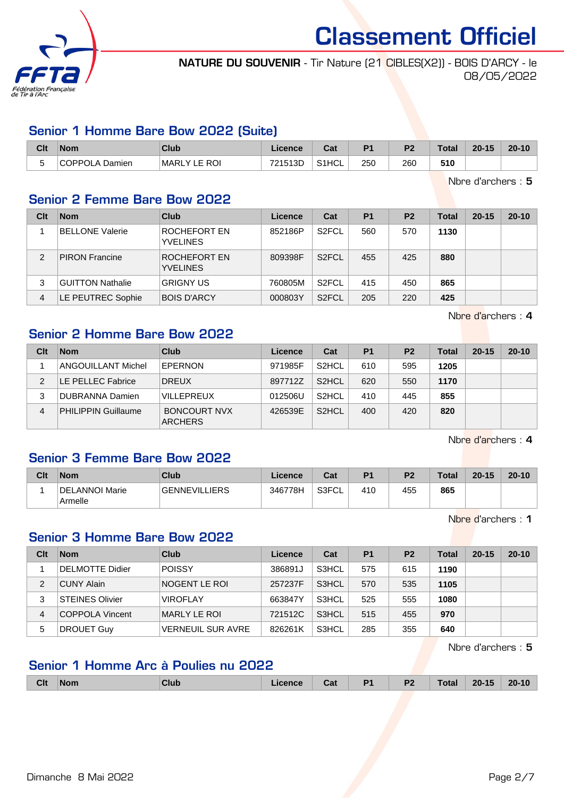

NATURE DU SOUVENIR - Tir Nature (21 CIBLES(X2)) - BOIS D'ARCY - le 08/05/2022

## Senior 1 Homme Bare Bow 2022 (Suite)

| Clt                   | <b>Nom</b>     | Club                | Licence | יה<br>ua           | P <sub>1</sub> | P <sub>2</sub> | Total | $20 - 15$ | $20 - 10$ |
|-----------------------|----------------|---------------------|---------|--------------------|----------------|----------------|-------|-----------|-----------|
| $\tilde{\phantom{a}}$ | COPPOLA Damien | <b>MARLY LE ROI</b> | 721513D | S <sub>1</sub> HCL | 250            | 260            | 510   |           |           |

Nbre d'archers : 5

#### Senior 2 Femme Bare Bow 2022

| Clt           | <b>Nom</b>              | Club                            | Licence | Cat                | <b>P1</b> | <b>P2</b> | <b>Total</b> | $20 - 15$ | $20 - 10$ |
|---------------|-------------------------|---------------------------------|---------|--------------------|-----------|-----------|--------------|-----------|-----------|
|               | <b>BELLONE Valerie</b>  | ROCHEFORT EN<br><b>YVELINES</b> | 852186P | S <sub>2</sub> FCL | 560       | 570       | 1130         |           |           |
| $\mathcal{P}$ | <b>PIRON Francine</b>   | ROCHEFORT EN<br><b>YVELINES</b> | 809398F | S <sub>2</sub> FCL | 455       | 425       | 880          |           |           |
| 3             | <b>GUITTON Nathalie</b> | <b>GRIGNY US</b>                | 760805M | S <sub>2</sub> FCL | 415       | 450       | 865          |           |           |
| 4             | LE PEUTREC Sophie       | <b>BOIS D'ARCY</b>              | 000803Y | S <sub>2</sub> FCL | 205       | 220       | 425          |           |           |

Nbre d'archers : 4

#### Senior 2 Homme Bare Bow 2022

| Clt | <b>Nom</b>                 | Club                                  | Licence | Cat                | P <sub>1</sub> | P <sub>2</sub> | Total | $20 - 15$ | $20 - 10$ |
|-----|----------------------------|---------------------------------------|---------|--------------------|----------------|----------------|-------|-----------|-----------|
|     | ANGOUILLANT Michel         | EPERNON                               | 971985F | S <sub>2</sub> HCL | 610            | 595            | 1205  |           |           |
| っ   | LE PELLEC Fabrice          | <b>DREUX</b>                          | 897712Z | S <sub>2</sub> HCL | 620            | 550            | 1170  |           |           |
| 3   | <b>DUBRANNA Damien</b>     | <b>VILLEPREUX</b>                     | 012506U | S <sub>2</sub> HCL | 410            | 445            | 855   |           |           |
| 4   | <b>PHILIPPIN Guillaume</b> | <b>BONCOURT NVX</b><br><b>ARCHERS</b> | 426539E | S <sub>2</sub> HCL | 400            | 420            | 820   |           |           |

Nbre d'archers : 4

## Senior 3 Femme Bare Bow 2022

| Clt | <b>Nom</b>                | Club                 | Licence | Cat   | P <sub>1</sub> | P <sub>2</sub> | <b>Total</b> | $20 - 15$ | $20 - 10$ |
|-----|---------------------------|----------------------|---------|-------|----------------|----------------|--------------|-----------|-----------|
|     | DELANNOI Marie<br>Armelle | <b>GENNEVILLIERS</b> | 346778H | S3FCL | 410            | 455            | 865          |           |           |

Nbre d'archers : 1

#### Senior 3 Homme Bare Bow 2022

| Clt | <b>Nom</b>             | Club                     | Licence | Cat   | <b>P1</b> | P <sub>2</sub> | Total | $20 - 15$ | $20 - 10$ |
|-----|------------------------|--------------------------|---------|-------|-----------|----------------|-------|-----------|-----------|
|     | DELMOTTE Didier        | POISSY                   | 386891J | S3HCL | 575       | 615            | 1190  |           |           |
| 2   | CUNY Alain             | NOGENT LE ROI            | 257237F | S3HCL | 570       | 535            | 1105  |           |           |
| 3   | <b>STEINES Olivier</b> | <b>VIROFLAY</b>          | 663847Y | S3HCL | 525       | 555            | 1080  |           |           |
| 4   | COPPOLA Vincent        | MARLY LE ROI             | 721512C | S3HCL | 515       | 455            | 970   |           |           |
| 5   | <b>DROUET Guy</b>      | <b>VERNEUIL SUR AVRE</b> | 826261K | S3HCL | 285       | 355            | 640   |           |           |

Nbre d'archers : 5

## Senior 1 Homme Arc à Poulies nu 2022

| <b>Clt</b> | <b>Nom</b> | Club | icence | Cat | P <sub>1</sub> | P <sub>2</sub> | <b>Total</b> | $20 - 15$ | $20 - 10$ |
|------------|------------|------|--------|-----|----------------|----------------|--------------|-----------|-----------|
|            |            |      |        |     |                |                |              |           |           |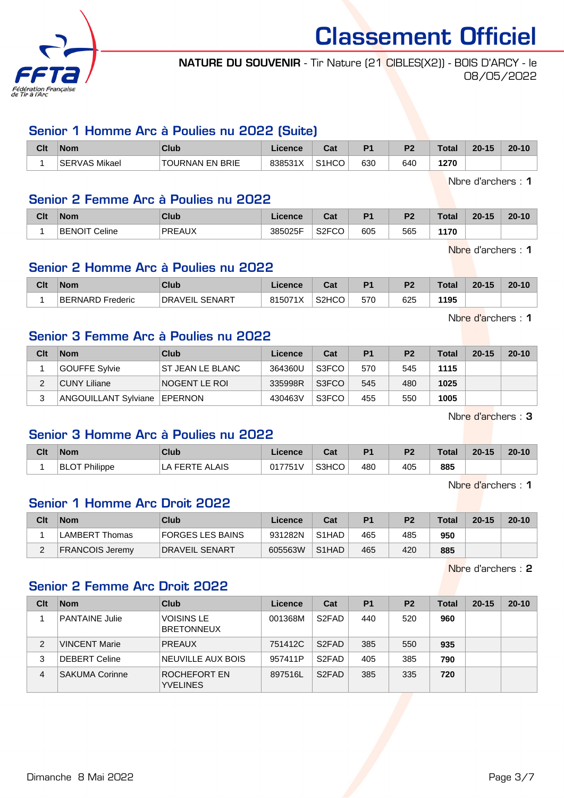

## NATURE DU SOUVENIR - Tir Nature (21 CIBLES(X2)) - BOIS D'ARCY - le 08/05/2022

#### Senior 1 Homme Arc à Poulies nu 2022 (Suite)

| Clt | <b>Nom</b>              | Club                   | <b>Licence</b> | יה<br>⊍aι          | D <sub>1</sub> | D.  | Total | $20 - 15$ | $20 - 10$ |
|-----|-------------------------|------------------------|----------------|--------------------|----------------|-----|-------|-----------|-----------|
|     | Mikael<br><b>SERVAS</b> | <b>TOURNAN EN BRIE</b> | 838531X        | S <sub>1</sub> HCO | 630            | 640 | 127C  |           |           |

Nbre d'archers : 1

#### Senior 2 Femme Arc à Poulies nu 2022

| Clt | <b>Nom</b>              | Club          | icence  | va.         | D.  | D.  | T.L.I<br>'ota. | $20 - 15$ | $20 - 10$ |
|-----|-------------------------|---------------|---------|-------------|-----|-----|----------------|-----------|-----------|
|     | Celine<br><b>BENOIT</b> | <b>PREAUX</b> | 385025F | S2FCO<br>◡◡ | 605 | 565 | 170            |           |           |

Nbre d'archers : 1

#### Senior 2 Homme Arc à Poulies nu 2022

| Clt | <b>Nom</b>                 | Club                       | .icence      | ∩~∙<br>⊍a | D <sub>1</sub> | D <sub>2</sub> | Total | $20-15$ | $20 - 10$ |
|-----|----------------------------|----------------------------|--------------|-----------|----------------|----------------|-------|---------|-----------|
|     | <b>BERNARD</b><br>Frederic | ∟ SENAR⊤<br><b>DRAVEIL</b> | 815071X<br>≀ | S2HCO     | 570            | 625            | 1195  |         |           |

Senior 3 Femme Arc à Poulies nu 2022

| Clt | <b>Nom</b>                     | Club              | Licence | Cat   | P <sub>1</sub> | P <sub>2</sub> | <b>Total</b> | $20 - 15$ | $20 - 10$ |
|-----|--------------------------------|-------------------|---------|-------|----------------|----------------|--------------|-----------|-----------|
|     | GOUFFE Sylvie                  | IST JEAN LE BLANC | 364360U | S3FCO | 570            | 545            | 1115         |           |           |
|     | CUNY Liliane_                  | INOGENT LE ROI    | 335998R | S3FCO | 545            | 480            | 1025         |           |           |
|     | ANGOUILLANT Sylviane   EPERNON |                   | 430463V | S3FCO | 455            | 550            | 1005         |           |           |

Nbre d'archers : 3

#### Senior 3 Homme Arc à Poulies nu 2022

| Clt | <b>Nom</b>           | Club               | Licence | <b>Tab</b><br>val | P <sub>1</sub> | P <sub>2</sub> | Total | $20 - 15$ | $20 - 10$ |
|-----|----------------------|--------------------|---------|-------------------|----------------|----------------|-------|-----------|-----------|
|     | <b>BLOT Philippe</b> | <b>FERTE ALAIS</b> | 017751V | S3HCO             | 480            | 405            | 885   |           |           |

Nbre d'archers : 1

#### Senior 1 Homme Arc Droit 2022

| Clt | <b>Nom</b>      | Club                  | Licence | Cat                | P <sub>1</sub> | P <sub>2</sub> | <b>Total</b> | $20 - 15$ | $20 - 10$ |
|-----|-----------------|-----------------------|---------|--------------------|----------------|----------------|--------------|-----------|-----------|
|     | LAMBERT Thomas  | FORGES LES BAINS      | 931282N | S <sub>1</sub> HAD | 465            | 485            | 950          |           |           |
|     | FRANCOIS Jeremv | <b>DRAVEIL SENART</b> | 605563W | S <sub>1</sub> HAD | 465            | 420            | 885          |           |           |

Nbre d'archers : 2

## Senior 2 Femme Arc Droit 2022

| Clt | <b>Nom</b>            | <b>Club</b>                            | Licence | Cat                | <b>P1</b> | P <sub>2</sub> | Total | $20 - 15$ | $20 - 10$ |
|-----|-----------------------|----------------------------------------|---------|--------------------|-----------|----------------|-------|-----------|-----------|
|     | <b>PANTAINE Julie</b> | <b>VOISINS LE</b><br><b>BRETONNEUX</b> | 001368M | S <sub>2</sub> FAD | 440       | 520            | 960   |           |           |
| 2   | <b>VINCENT Marie</b>  | <b>PREAUX</b>                          | 751412C | S <sub>2</sub> FAD | 385       | 550            | 935   |           |           |
| 3   | DEBERT Celine         | NEUVILLE AUX BOIS                      | 957411P | S <sub>2</sub> FAD | 405       | 385            | 790   |           |           |
| 4   | <b>SAKUMA Corinne</b> | ROCHEFORT EN<br><b>YVELINES</b>        | 897516L | S <sub>2</sub> FAD | 385       | 335            | 720   |           |           |

Nbre d'archers : 1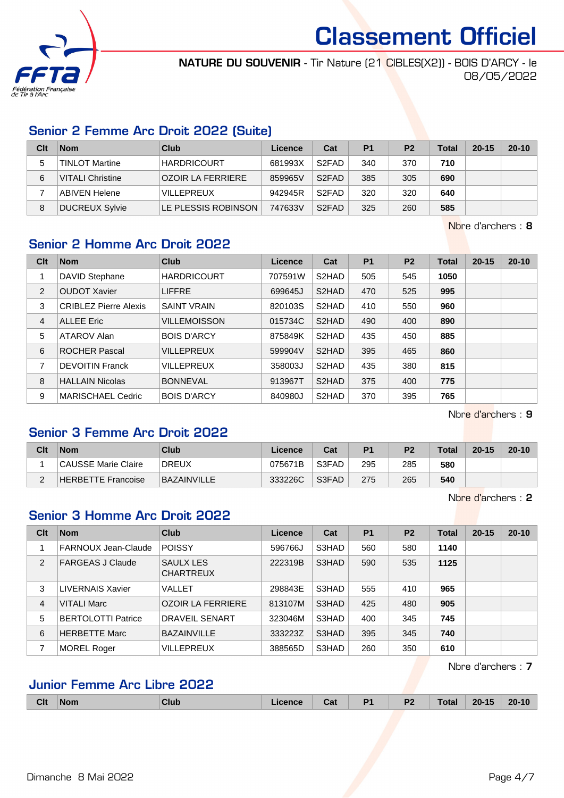

NATURE DU SOUVENIR - Tir Nature (21 CIBLES(X2)) - BOIS D'ARCY - le 08/05/2022

## Senior 2 Femme Arc Droit 2022 (Suite)

| Clt | <b>Nom</b>              | Club                     | Licence | Cat                | P <sub>1</sub> | P <sub>2</sub> | Total | $20 - 15$ | $20 - 10$ |
|-----|-------------------------|--------------------------|---------|--------------------|----------------|----------------|-------|-----------|-----------|
| 5   | TINLOT Martine          | <b>HARDRICOURT</b>       | 681993X | S <sub>2</sub> FAD | 340            | 370            | 710   |           |           |
| 6   | <b>VITALI Christine</b> | <b>OZOIR LA FERRIERE</b> | 859965V | S <sub>2</sub> FAD | 385            | 305            | 690   |           |           |
|     | ABIVEN Helene           | <b>VILLEPREUX</b>        | 942945R | S <sub>2</sub> FAD | 320            | 320            | 640   |           |           |
| 8   | <b>DUCREUX Sylvie</b>   | LE PLESSIS ROBINSON      | 747633V | S <sub>2</sub> FAD | 325            | 260            | 585   |           |           |

Nbre d'archers : 8

# Senior 2 Homme Arc Droit 2022

| Clt | <b>Nom</b>                   | <b>Club</b>         | Licence | Cat                | <b>P1</b> | <b>P2</b> | <b>Total</b> | $20 - 15$ | $20 - 10$ |
|-----|------------------------------|---------------------|---------|--------------------|-----------|-----------|--------------|-----------|-----------|
|     | DAVID Stephane               | <b>HARDRICOURT</b>  | 707591W | S2HAD              | 505       | 545       | 1050         |           |           |
| 2   | <b>OUDOT Xavier</b>          | <b>LIFFRE</b>       | 699645J | S2HAD              | 470       | 525       | 995          |           |           |
| 3   | <b>CRIBLEZ Pierre Alexis</b> | <b>SAINT VRAIN</b>  | 820103S | S2HAD              | 410       | 550       | 960          |           |           |
| 4   | <b>ALLEE Eric</b>            | <b>VILLEMOISSON</b> | 015734C | S2HAD              | 490       | 400       | 890          |           |           |
| 5   | ATAROV Alan                  | <b>BOIS D'ARCY</b>  | 875849K | S2HAD              | 435       | 450       | 885          |           |           |
| 6   | <b>ROCHER Pascal</b>         | <b>VILLEPREUX</b>   | 599904V | S2HAD              | 395       | 465       | 860          |           |           |
| 7   | <b>DEVOITIN Franck</b>       | <b>VILLEPREUX</b>   | 358003J | S2HAD              | 435       | 380       | 815          |           |           |
| 8   | <b>HALLAIN Nicolas</b>       | <b>BONNEVAL</b>     | 913967T | S2HAD              | 375       | 400       | 775          |           |           |
| 9   | MARISCHAEL Cedric            | <b>BOIS D'ARCY</b>  | 840980J | S <sub>2</sub> HAD | 370       | 395       | 765          |           |           |

Nbre d'archers : 9

## Senior 3 Femme Arc Droit 2022

| Clt | <b>Nom</b>          | Club        | Licence | Cat   | P <sub>1</sub> | P <sub>2</sub> | <b>Total</b> | $20 - 15$ | $20 - 10$ |
|-----|---------------------|-------------|---------|-------|----------------|----------------|--------------|-----------|-----------|
|     | CAUSSE Marie Claire | DREUX       | 075671B | S3FAD | 295            | 285            | 580          |           |           |
|     | HERBETTE Francoise  | BAZAINVILLE | 333226C | S3FAD | 275            | 265            | 540          |           |           |

Nbre d'archers : 2

# Senior 3 Homme Arc Droit 2022

| Clt            | <b>Nom</b>                | Club                          | Licence | Cat   | <b>P1</b> | P <sub>2</sub> | <b>Total</b> | $20 - 15$ | $20 - 10$ |
|----------------|---------------------------|-------------------------------|---------|-------|-----------|----------------|--------------|-----------|-----------|
|                | FARNOUX Jean-Claude       | <b>POISSY</b>                 | 596766J | S3HAD | 560       | 580            | 1140         |           |           |
| 2              | <b>FARGEAS J Claude</b>   | SAULX LES<br><b>CHARTREUX</b> | 222319B | S3HAD | 590       | 535            | 1125         |           |           |
| 3              | LIVERNAIS Xavier          | VALLET                        | 298843E | S3HAD | 555       | 410            | 965          |           |           |
| $\overline{4}$ | <b>VITALI Marc</b>        | <b>OZOIR LA FERRIERE</b>      | 813107M | S3HAD | 425       | 480            | 905          |           |           |
| 5              | <b>BERTOLOTTI Patrice</b> | DRAVEIL SENART                | 323046M | S3HAD | 400       | 345            | 745          |           |           |
| 6              | <b>HERBETTE Marc</b>      | <b>BAZAINVILLE</b>            | 333223Z | S3HAD | 395       | 345            | 740          |           |           |
| 7              | <b>MOREL Roger</b>        | VILLEPREUX                    | 388565D | S3HAD | 260       | 350            | 610          |           |           |

Nbre d'archers : 7

## Junior Femme Arc Libre 2022

|  | <b>Clt</b> | <b>Nom</b><br>------ | <b>Club</b> | чњ.<br>______ | - -<br>ual | D <sub>1</sub><br>. . | P <sub>2</sub><br>$\sim$ | :Гot<br>- <del>-</del> ---- | m<br>____ |  |
|--|------------|----------------------|-------------|---------------|------------|-----------------------|--------------------------|-----------------------------|-----------|--|
|--|------------|----------------------|-------------|---------------|------------|-----------------------|--------------------------|-----------------------------|-----------|--|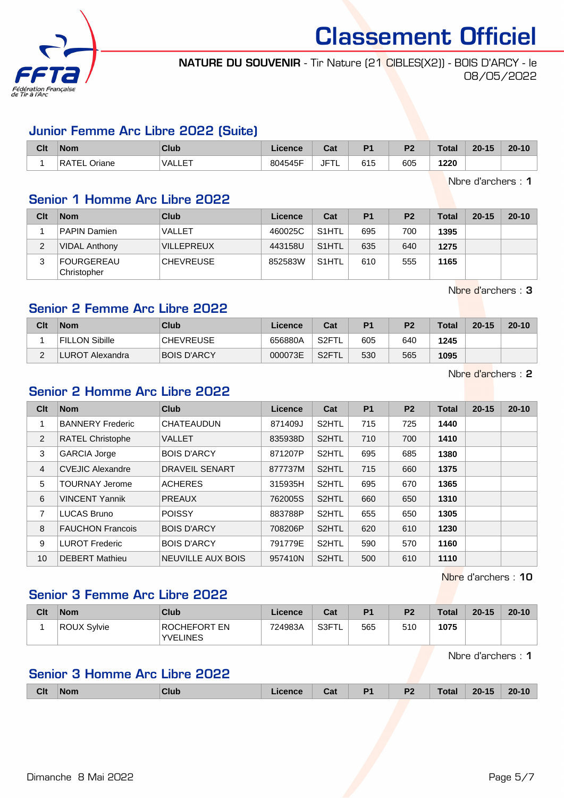

## NATURE DU SOUVENIR - Tir Nature (21 CIBLES(X2)) - BOIS D'ARCY - le 08/05/2022

#### Junior Femme Arc Libre 2022 (Suite)

| <b>Clt</b> | <b>Nom</b>      | Club                | Licence | ົີີ່<br>υαι       | D <sub>1</sub>       | D <sub>2</sub> | <b>Total</b> | $20 - 15$ | $20 - 10$ |
|------------|-----------------|---------------------|---------|-------------------|----------------------|----------------|--------------|-----------|-----------|
|            | RATEL<br>Oriane | テロエ<br><b>VALLE</b> | 804545F | $ -$<br>JF<br>1 L | $\sim$ $\sim$<br>615 | 605            | 1220         |           |           |

Nbre d'archers : 1

#### Senior 1 Homme Arc Libre 2022

| Clt | <b>Nom</b>                | Club              | Licence | Cat                | P <sub>1</sub> | P <sub>2</sub> | Total | $20 - 15$ | $20 - 10$ |
|-----|---------------------------|-------------------|---------|--------------------|----------------|----------------|-------|-----------|-----------|
|     | <b>PAPIN Damien</b>       | <b>VALLET</b>     | 460025C | S <sub>1</sub> HTL | 695            | 700            | 1395  |           |           |
| 2   | <b>VIDAL Anthony</b>      | <b>VILLEPREUX</b> | 443158U | S <sub>1</sub> HTL | 635            | 640            | 1275  |           |           |
| 3   | FOURGEREAU<br>Christopher | <b>CHEVREUSE</b>  | 852583W | S <sub>1</sub> HTL | 610            | 555            | 1165  |           |           |

Nbre d'archers : 3

## Senior 2 Femme Arc Libre 2022

| Clt | <b>Nom</b>            | Club               | Licence | Cat               | P <sub>1</sub> | P <sub>2</sub> | <b>Total</b> | $20 - 15$ | $20 - 10$ |
|-----|-----------------------|--------------------|---------|-------------------|----------------|----------------|--------------|-----------|-----------|
|     | <b>FILLON Sibille</b> | <b>CHEVREUSE</b>   | 656880A | S <sub>2</sub> FT | 605            | 640            | 1245         |           |           |
| ⌒   | UROT.<br>Alexandra    | <b>BOIS D'ARCY</b> | 000073E | S <sub>2</sub> FT | 530            | 565            | 1095         |           |           |

Nbre d'archers : 2

## Senior 2 Homme Arc Libre 2022

| Clt            | <b>Nom</b>              | <b>Club</b>           | Licence | Cat                | <b>P1</b> | <b>P2</b> | <b>Total</b> | $20 - 15$ | $20 - 10$ |
|----------------|-------------------------|-----------------------|---------|--------------------|-----------|-----------|--------------|-----------|-----------|
|                | <b>BANNERY Frederic</b> | <b>CHATEAUDUN</b>     | 871409J | S <sub>2</sub> HTL | 715       | 725       | 1440         |           |           |
| 2              | <b>RATEL Christophe</b> | <b>VALLET</b>         | 835938D | S <sub>2</sub> HTL | 710       | 700       | 1410         |           |           |
| 3              | <b>GARCIA Jorge</b>     | <b>BOIS D'ARCY</b>    | 871207P | S <sub>2</sub> HTL | 695       | 685       | 1380         |           |           |
| $\overline{4}$ | <b>CVEJIC Alexandre</b> | <b>DRAVEIL SENART</b> | 877737M | S <sub>2</sub> HTL | 715       | 660       | 1375         |           |           |
| 5              | <b>TOURNAY Jerome</b>   | <b>ACHERES</b>        | 315935H | S2HTL              | 695       | 670       | 1365         |           |           |
| 6              | <b>VINCENT Yannik</b>   | <b>PREAUX</b>         | 762005S | S <sub>2</sub> HTL | 660       | 650       | 1310         |           |           |
| 7              | <b>LUCAS Bruno</b>      | <b>POISSY</b>         | 883788P | S <sub>2</sub> HTL | 655       | 650       | 1305         |           |           |
| 8              | <b>FAUCHON Francois</b> | <b>BOIS D'ARCY</b>    | 708206P | S <sub>2</sub> HTL | 620       | 610       | 1230         |           |           |
| 9              | <b>LUROT Frederic</b>   | <b>BOIS D'ARCY</b>    | 791779E | S <sub>2</sub> HTL | 590       | 570       | 1160         |           |           |
| 10             | <b>DEBERT Mathieu</b>   | NEUVILLE AUX BOIS     | 957410N | S <sub>2</sub> HTL | 500       | 610       | 1110         |           |           |

Nbre d'archers : 10

#### Senior 3 Femme Arc Libre 2022

| Clt | <b>Nom</b>  | Club                            | Licence | Cat         | P <sub>1</sub> | P <sub>2</sub> | <b>Total</b> | $20 - 15$ | $20 - 10$ |
|-----|-------------|---------------------------------|---------|-------------|----------------|----------------|--------------|-----------|-----------|
|     | ROUX Sylvie | ROCHEFORT EN<br><b>YVELINES</b> | 724983A | S3FT<br>் ட | 565            | 510            | 1075         |           |           |

Nbre d'archers : 1

## Senior 3 Homme Arc Libre 2022

|  | <b>Clt</b> | Nom<br>. | Club | 1 I Le<br>_____ | .<br>ual | D4 | D0<br>-- | $- - - - -$ | o,<br>. .<br>___ |  |
|--|------------|----------|------|-----------------|----------|----|----------|-------------|------------------|--|
|--|------------|----------|------|-----------------|----------|----|----------|-------------|------------------|--|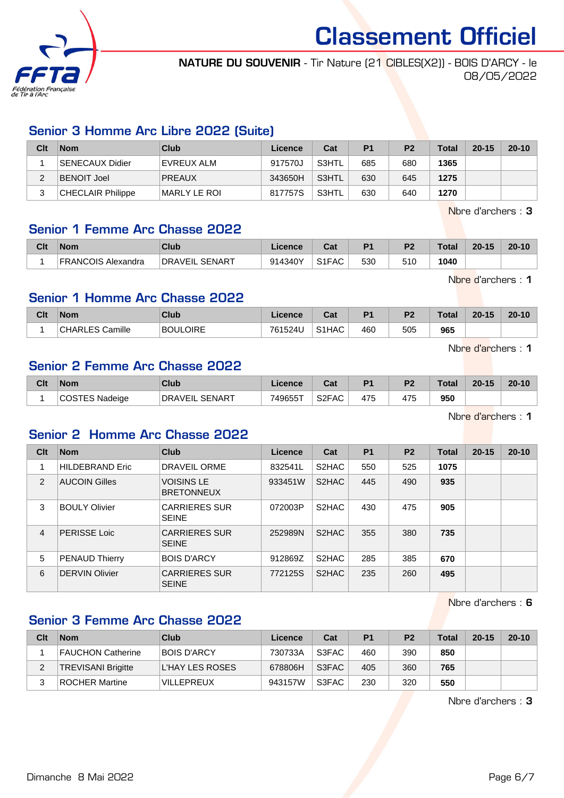

NATURE DU SOUVENIR - Tir Nature (21 CIBLES(X2)) - BOIS D'ARCY - le 08/05/2022

## Senior 3 Homme Arc Libre 2022 (Suite)

| Clt | <b>Nom</b>               | Club          | Licence | Cat   | P <sub>1</sub> | P <sub>2</sub> | <b>Total</b> | $20 - 15$ | $20 - 10$ |
|-----|--------------------------|---------------|---------|-------|----------------|----------------|--------------|-----------|-----------|
|     | SENECAUX Didier          | EVREUX ALM    | 917570J | S3HTL | 685            | 680            | 1365         |           |           |
|     | <b>BENOIT Joel</b>       | <b>PREAUX</b> | 343650H | S3HTL | 630            | 645            | 1275         |           |           |
|     | <b>CHECLAIR Philippe</b> | MARLY LE ROI  | 817757S | S3HTL | 630            | 640            | 1270         |           |           |

Nbre d'archers : 3

#### Senior 1 Femme Arc Chasse 2022

| Clt | <b>Nom</b>                   | Club                       | Licence | r.,<br>⊍aι | D <sub>1</sub> | D <sub>2</sub> | Total | $20 - 15$ | $20 - 10$ |
|-----|------------------------------|----------------------------|---------|------------|----------------|----------------|-------|-----------|-----------|
|     | <b>FRANCOIS</b><br>Alexandra | . SENART<br><b>DRAVEIL</b> | 914340Y | S1FAC      | 530            | 51C            | 1040  |           |           |

Nbre d'archers : 1

#### Senior 1 Homme Arc Chasse 2022

| Clt | <b>Nom</b>             | Club     | cence   | ∩^*<br>ual         | D <sub>4</sub> | P <sub>2</sub> | <b>Total</b> | $20 - 15$ | $20 - 10$ |
|-----|------------------------|----------|---------|--------------------|----------------|----------------|--------------|-----------|-----------|
|     | <b>CHARLES Camille</b> | BOULOIRE | 761524U | S <sub>1</sub> HAC | 460            | 505            | 965          |           |           |

Nbre d'archers : 1

#### Senior 2 Femme Arc Chasse 2022

| Clt | <b>Nom</b> | <b>Club</b>                     | ∟icence | r.,<br>val         | D <sub>4</sub> | D <sub>2</sub> | Total | $20 - 15$ | $20 - 10$ |
|-----|------------|---------------------------------|---------|--------------------|----------------|----------------|-------|-----------|-----------|
|     | Nadeige    | <b>SENART</b><br><b>DRAVEIL</b> | 749655T | S <sub>2</sub> FAC | 475            | 475            | 950   |           |           |

Nbre d'archers : 1

## Senior 2 Homme Arc Chasse 2022

| Clt            | <b>Nom</b>             | Club                                   | Licence | Cat                | P <sub>1</sub> | P <sub>2</sub> | Total | $20 - 15$ | $20 - 10$ |
|----------------|------------------------|----------------------------------------|---------|--------------------|----------------|----------------|-------|-----------|-----------|
|                | <b>HILDEBRAND Eric</b> | DRAVEIL ORME                           | 832541L | S <sub>2</sub> HAC | 550            | 525            | 1075  |           |           |
| 2              | <b>AUCOIN Gilles</b>   | <b>VOISINS LE</b><br><b>BRETONNEUX</b> | 933451W | S <sub>2</sub> HAC | 445            | 490            | 935   |           |           |
| 3              | <b>BOULY Olivier</b>   | <b>CARRIERES SUR</b><br><b>SEINE</b>   | 072003P | S <sub>2</sub> HAC | 430            | 475            | 905   |           |           |
| $\overline{4}$ | <b>PERISSE Loic</b>    | <b>CARRIERES SUR</b><br><b>SEINE</b>   | 252989N | S <sub>2</sub> HAC | 355            | 380            | 735   |           |           |
| 5              | <b>PENAUD Thierry</b>  | <b>BOIS D'ARCY</b>                     | 912869Z | S <sub>2</sub> HAC | 285            | 385            | 670   |           |           |
| 6              | <b>DERVIN Olivier</b>  | <b>CARRIERES SUR</b><br><b>SEINE</b>   | 772125S | S <sub>2</sub> HAC | 235            | 260            | 495   |           |           |

Nbre d'archers : 6

# Senior 3 Femme Arc Chasse 2022

| Clt | <b>Nom</b>                | Club              | Licence | Cat   | P <sub>1</sub> | P <sub>2</sub> | <b>Total</b> | $20 - 15$ | $20 - 10$ |
|-----|---------------------------|-------------------|---------|-------|----------------|----------------|--------------|-----------|-----------|
|     | FAUCHON Catherine         | BOIS D'ARCY       | 730733A | S3FAC | 460            | 390            | 850          |           |           |
| ∠   | <b>TREVISANI Brigitte</b> | L'HAY LES ROSES   | 678806H | S3FAC | 405            | 360            | 765          |           |           |
| ຈ   | <b>ROCHER Martine</b>     | <b>VILLEPREUX</b> | 943157W | S3FAC | 230            | 320            | 550          |           |           |

Nbre d'archers : 3